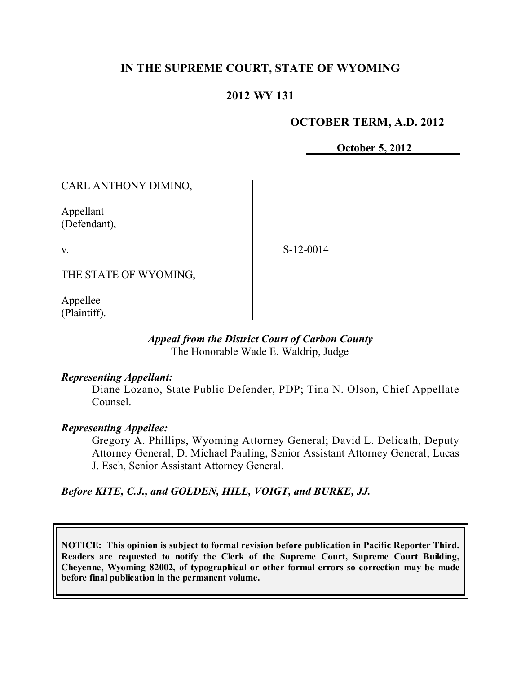# **IN THE SUPREME COURT, STATE OF WYOMING**

## **2012 WY 131**

## **OCTOBER TERM, A.D. 2012**

**October 5, 2012**

CARL ANTHONY DIMINO,

Appellant (Defendant),

v.

S-12-0014

THE STATE OF WYOMING,

Appellee (Plaintiff).

### *Appeal from the District Court of Carbon County* The Honorable Wade E. Waldrip, Judge

### *Representing Appellant:*

Diane Lozano, State Public Defender, PDP; Tina N. Olson, Chief Appellate Counsel.

### *Representing Appellee:*

Gregory A. Phillips, Wyoming Attorney General; David L. Delicath, Deputy Attorney General; D. Michael Pauling, Senior Assistant Attorney General; Lucas J. Esch, Senior Assistant Attorney General.

*Before KITE, C.J., and GOLDEN, HILL, VOIGT, and BURKE, JJ.*

**NOTICE: This opinion is subject to formal revision before publication in Pacific Reporter Third. Readers are requested to notify the Clerk of the Supreme Court, Supreme Court Building, Cheyenne, Wyoming 82002, of typographical or other formal errors so correction may be made before final publication in the permanent volume.**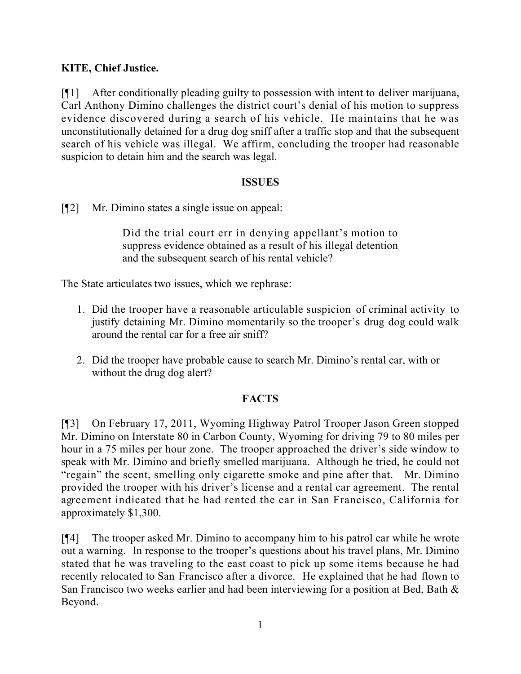# **KITE, Chief Justice.**

[¶1] After conditionally pleading guilty to possession with intent to deliver marijuana, Carl Anthony Dimino challenges the district court's denial of his motion to suppress evidence discovered during a search of his vehicle. He maintains that he was unconstitutionally detained for a drug dog sniff after a traffic stop and that the subsequent search of his vehicle was illegal. We affirm, concluding the trooper had reasonable suspicion to detain him and the search was legal.

## **ISSUES**

[¶2] Mr. Dimino states a single issue on appeal:

Did the trial court err in denying appellant's motion to suppress evidence obtained as a result of his illegal detention and the subsequent search of his rental vehicle?

The State articulates two issues, which we rephrase:

- 1. Did the trooper have a reasonable articulable suspicion of criminal activity to justify detaining Mr. Dimino momentarily so the trooper's drug dog could walk around the rental car for a free air sniff?
- 2. Did the trooper have probable cause to search Mr. Dimino's rental car, with or without the drug dog alert?

## **FACTS**

[¶3] On February 17, 2011, Wyoming Highway Patrol Trooper Jason Green stopped Mr. Dimino on Interstate 80 in Carbon County, Wyoming for driving 79 to 80 miles per hour in a 75 miles per hour zone. The trooper approached the driver's side window to speak with Mr. Dimino and briefly smelled marijuana. Although he tried, he could not "regain" the scent, smelling only cigarette smoke and pine after that. Mr. Dimino provided the trooper with his driver's license and a rental car agreement. The rental agreement indicated that he had rented the car in San Francisco, California for approximately \$1,300.

[¶4] The trooper asked Mr. Dimino to accompany him to his patrol car while he wrote out a warning. In response to the trooper's questions about his travel plans, Mr. Dimino stated that he was traveling to the east coast to pick up some items because he had recently relocated to San Francisco after a divorce. He explained that he had flown to San Francisco two weeks earlier and had been interviewing for a position at Bed, Bath & Beyond.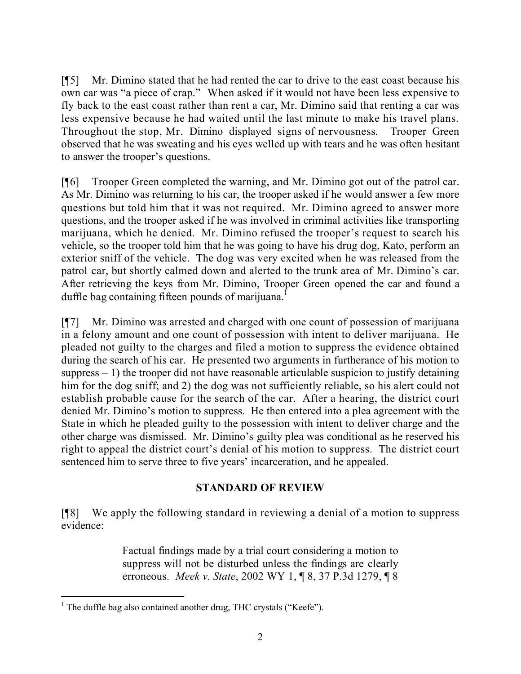[¶5] Mr. Dimino stated that he had rented the car to drive to the east coast because his own car was "a piece of crap." When asked if it would not have been less expensive to fly back to the east coast rather than rent a car, Mr. Dimino said that renting a car was less expensive because he had waited until the last minute to make his travel plans. Throughout the stop, Mr. Dimino displayed signs of nervousness. Trooper Green observed that he was sweating and his eyes welled up with tears and he was often hesitant to answer the trooper's questions.

[¶6] Trooper Green completed the warning, and Mr. Dimino got out of the patrol car. As Mr. Dimino was returning to his car, the trooper asked if he would answer a few more questions but told him that it was not required. Mr. Dimino agreed to answer more questions, and the trooper asked if he was involved in criminal activities like transporting marijuana, which he denied. Mr. Dimino refused the trooper's request to search his vehicle, so the trooper told him that he was going to have his drug dog, Kato, perform an exterior sniff of the vehicle. The dog was very excited when he was released from the patrol car, but shortly calmed down and alerted to the trunk area of Mr. Dimino's car. After retrieving the keys from Mr. Dimino, Trooper Green opened the car and found a duffle bag containing fifteen pounds of marijuana.<sup>1</sup>

[¶7] Mr. Dimino was arrested and charged with one count of possession of marijuana in a felony amount and one count of possession with intent to deliver marijuana. He pleaded not guilty to the charges and filed a motion to suppress the evidence obtained during the search of his car. He presented two arguments in furtherance of his motion to suppress  $-1$ ) the trooper did not have reasonable articulable suspicion to justify detaining him for the dog sniff; and 2) the dog was not sufficiently reliable, so his alert could not establish probable cause for the search of the car. After a hearing, the district court denied Mr. Dimino's motion to suppress. He then entered into a plea agreement with the State in which he pleaded guilty to the possession with intent to deliver charge and the other charge was dismissed. Mr. Dimino's guilty plea was conditional as he reserved his right to appeal the district court's denial of his motion to suppress. The district court sentenced him to serve three to five years' incarceration, and he appealed.

## **STANDARD OF REVIEW**

[¶8] We apply the following standard in reviewing a denial of a motion to suppress evidence:

> Factual findings made by a trial court considering a motion to suppress will not be disturbed unless the findings are clearly erroneous. *Meek v. State*, 2002 WY 1, ¶ 8, 37 P.3d 1279, ¶ 8

 <sup>1</sup> The duffle bag also contained another drug, THC crystals ("Keefe").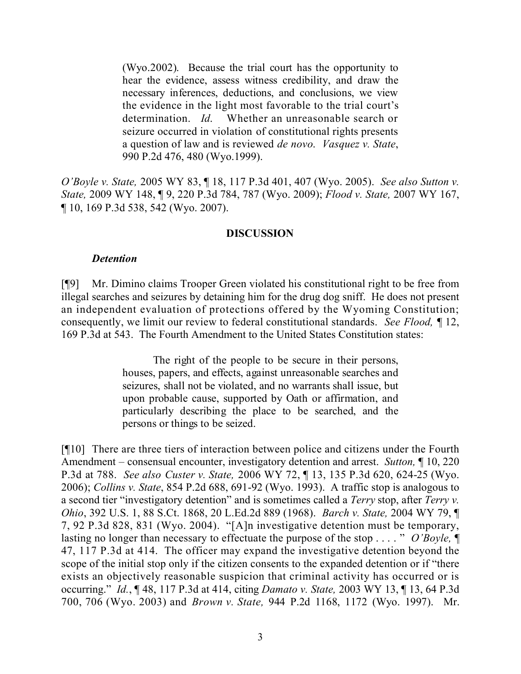(Wyo.2002). Because the trial court has the opportunity to hear the evidence, assess witness credibility, and draw the necessary inferences, deductions, and conclusions, we view the evidence in the light most favorable to the trial court's determination. *Id*. Whether an unreasonable search or seizure occurred in violation of constitutional rights presents a question of law and is reviewed *de novo*. *Vasquez v. State*, 990 P.2d 476, 480 (Wyo.1999).

*O'Boyle v. State,* 2005 WY 83, ¶ 18, 117 P.3d 401, 407 (Wyo. 2005). *See also Sutton v. State,* 2009 WY 148, ¶ 9, 220 P.3d 784, 787 (Wyo. 2009); *Flood v. State,* 2007 WY 167, ¶ 10, 169 P.3d 538, 542 (Wyo. 2007).

### **DISCUSSION**

### *Detention*

[¶9] Mr. Dimino claims Trooper Green violated his constitutional right to be free from illegal searches and seizures by detaining him for the drug dog sniff. He does not present an independent evaluation of protections offered by the Wyoming Constitution; consequently, we limit our review to federal constitutional standards. *See Flood,* ¶ 12, 169 P.3d at 543. The Fourth Amendment to the United States Constitution states:

> The right of the people to be secure in their persons, houses, papers, and effects, against unreasonable searches and seizures, shall not be violated, and no warrants shall issue, but upon probable cause, supported by Oath or affirmation, and particularly describing the place to be searched, and the persons or things to be seized.

[¶10] There are three tiers of interaction between police and citizens under the Fourth Amendment – consensual encounter, investigatory detention and arrest. *Sutton,* ¶ 10, 220 P.3d at 788. *See also Custer v. State,* 2006 WY 72, ¶ 13, 135 P.3d 620, 624-25 (Wyo. 2006); *Collins v. State*, 854 P.2d 688, 691-92 (Wyo. 1993). A traffic stop is analogous to a second tier "investigatory detention" and is sometimes called a *Terry* stop, after *Terry v. Ohio*, 392 U.S. 1, 88 S.Ct. 1868, 20 L.Ed.2d 889 (1968). *Barch v. State,* 2004 WY 79, ¶ 7, 92 P.3d 828, 831 (Wyo. 2004). "[A]n investigative detention must be temporary, lasting no longer than necessary to effectuate the purpose of the stop . . . . " *O'Boyle,* ¶ 47, 117 P.3d at 414. The officer may expand the investigative detention beyond the scope of the initial stop only if the citizen consents to the expanded detention or if "there exists an objectively reasonable suspicion that criminal activity has occurred or is occurring." *Id.*, ¶ 48, 117 P.3d at 414, citing *Damato v. State,* 2003 WY 13, ¶ 13, 64 P.3d 700, 706 (Wyo. 2003) and *Brown v. State,* 944 P.2d 1168, 1172 (Wyo. 1997). Mr.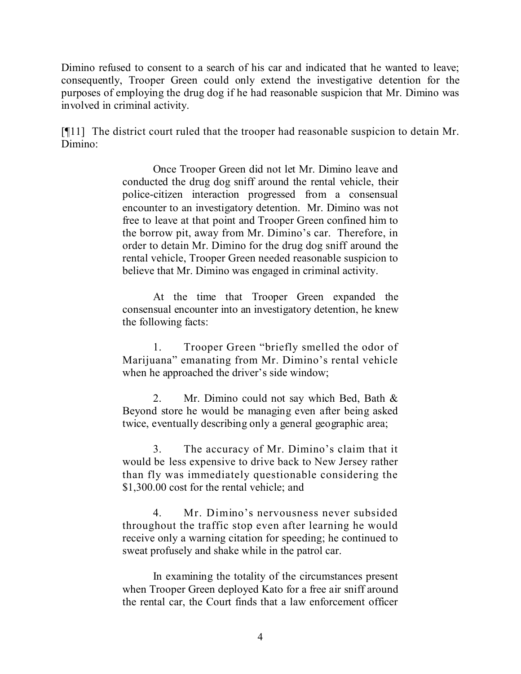Dimino refused to consent to a search of his car and indicated that he wanted to leave; consequently, Trooper Green could only extend the investigative detention for the purposes of employing the drug dog if he had reasonable suspicion that Mr. Dimino was involved in criminal activity.

[¶11] The district court ruled that the trooper had reasonable suspicion to detain Mr. Dimino:

> Once Trooper Green did not let Mr. Dimino leave and conducted the drug dog sniff around the rental vehicle, their police-citizen interaction progressed from a consensual encounter to an investigatory detention. Mr. Dimino was not free to leave at that point and Trooper Green confined him to the borrow pit, away from Mr. Dimino's car. Therefore, in order to detain Mr. Dimino for the drug dog sniff around the rental vehicle, Trooper Green needed reasonable suspicion to believe that Mr. Dimino was engaged in criminal activity.

> At the time that Trooper Green expanded the consensual encounter into an investigatory detention, he knew the following facts:

> 1. Trooper Green "briefly smelled the odor of Marijuana" emanating from Mr. Dimino's rental vehicle when he approached the driver's side window;

> 2. Mr. Dimino could not say which Bed, Bath & Beyond store he would be managing even after being asked twice, eventually describing only a general geographic area;

> 3. The accuracy of Mr. Dimino's claim that it would be less expensive to drive back to New Jersey rather than fly was immediately questionable considering the \$1,300.00 cost for the rental vehicle; and

> 4. Mr. Dimino's nervousness never subsided throughout the traffic stop even after learning he would receive only a warning citation for speeding; he continued to sweat profusely and shake while in the patrol car.

> In examining the totality of the circumstances present when Trooper Green deployed Kato for a free air sniff around the rental car, the Court finds that a law enforcement officer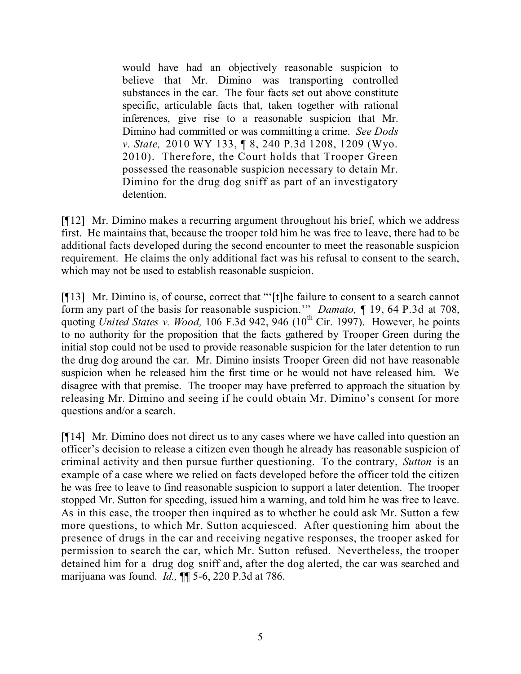would have had an objectively reasonable suspicion to believe that Mr. Dimino was transporting controlled substances in the car. The four facts set out above constitute specific, articulable facts that, taken together with rational inferences, give rise to a reasonable suspicion that Mr. Dimino had committed or was committing a crime. *See Dods v. State,* 2010 WY 133, ¶ 8, 240 P.3d 1208, 1209 (Wyo. 2010). Therefore, the Court holds that Trooper Green possessed the reasonable suspicion necessary to detain Mr. Dimino for the drug dog sniff as part of an investigatory detention.

[¶12] Mr. Dimino makes a recurring argument throughout his brief, which we address first. He maintains that, because the trooper told him he was free to leave, there had to be additional facts developed during the second encounter to meet the reasonable suspicion requirement. He claims the only additional fact was his refusal to consent to the search, which may not be used to establish reasonable suspicion.

[¶13] Mr. Dimino is, of course, correct that "'[t]he failure to consent to a search cannot form any part of the basis for reasonable suspicion.'" *Damato,* ¶ 19, 64 P.3d at 708, quoting *United States v. Wood,* 106 F.3d 942, 946 (10<sup>th</sup> Cir. 1997). However, he points to no authority for the proposition that the facts gathered by Trooper Green during the initial stop could not be used to provide reasonable suspicion for the later detention to run the drug dog around the car. Mr. Dimino insists Trooper Green did not have reasonable suspicion when he released him the first time or he would not have released him. We disagree with that premise. The trooper may have preferred to approach the situation by releasing Mr. Dimino and seeing if he could obtain Mr. Dimino's consent for more questions and/or a search.

[¶14] Mr. Dimino does not direct us to any cases where we have called into question an officer's decision to release a citizen even though he already has reasonable suspicion of criminal activity and then pursue further questioning. To the contrary, *Sutton* is an example of a case where we relied on facts developed before the officer told the citizen he was free to leave to find reasonable suspicion to support a later detention. The trooper stopped Mr. Sutton for speeding, issued him a warning, and told him he was free to leave. As in this case, the trooper then inquired as to whether he could ask Mr. Sutton a few more questions, to which Mr. Sutton acquiesced. After questioning him about the presence of drugs in the car and receiving negative responses, the trooper asked for permission to search the car, which Mr. Sutton refused. Nevertheless, the trooper detained him for a drug dog sniff and, after the dog alerted, the car was searched and marijuana was found. *Id.,* ¶¶ 5-6, 220 P.3d at 786.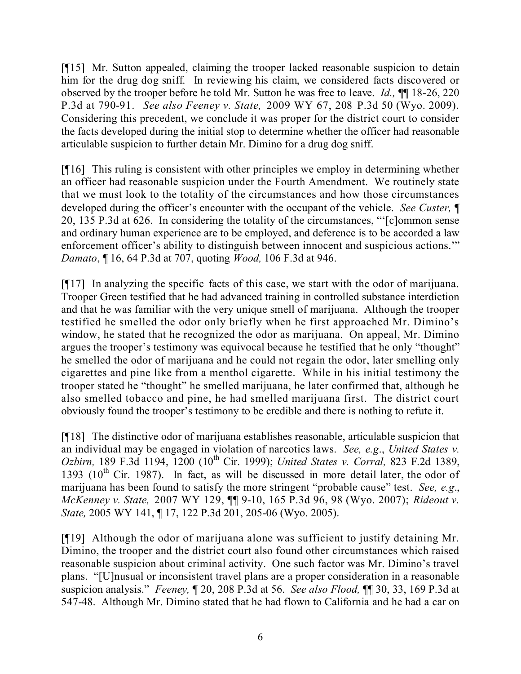[¶15] Mr. Sutton appealed, claiming the trooper lacked reasonable suspicion to detain him for the drug dog sniff. In reviewing his claim, we considered facts discovered or observed by the trooper before he told Mr. Sutton he was free to leave. *Id.,* ¶¶ 18-26, 220 P.3d at 790-91. *See also Feeney v. State,* 2009 WY 67, 208 P.3d 50 (Wyo. 2009). Considering this precedent, we conclude it was proper for the district court to consider the facts developed during the initial stop to determine whether the officer had reasonable articulable suspicion to further detain Mr. Dimino for a drug dog sniff.

[¶16] This ruling is consistent with other principles we employ in determining whether an officer had reasonable suspicion under the Fourth Amendment. We routinely state that we must look to the totality of the circumstances and how those circumstances developed during the officer's encounter with the occupant of the vehicle. *See Custer,* ¶ 20, 135 P.3d at 626. In considering the totality of the circumstances, "'[c]ommon sense and ordinary human experience are to be employed, and deference is to be accorded a law enforcement officer's ability to distinguish between innocent and suspicious actions.'" *Damato*, ¶ 16, 64 P.3d at 707, quoting *Wood,* 106 F.3d at 946.

[¶17] In analyzing the specific facts of this case, we start with the odor of marijuana. Trooper Green testified that he had advanced training in controlled substance interdiction and that he was familiar with the very unique smell of marijuana. Although the trooper testified he smelled the odor only briefly when he first approached Mr. Dimino's window, he stated that he recognized the odor as marijuana. On appeal, Mr. Dimino argues the trooper's testimony was equivocal because he testified that he only "thought" he smelled the odor of marijuana and he could not regain the odor, later smelling only cigarettes and pine like from a menthol cigarette. While in his initial testimony the trooper stated he "thought" he smelled marijuana, he later confirmed that, although he also smelled tobacco and pine, he had smelled marijuana first. The district court obviously found the trooper's testimony to be credible and there is nothing to refute it.

[¶18] The distinctive odor of marijuana establishes reasonable, articulable suspicion that an individual may be engaged in violation of narcotics laws. *See, e.g*., *United States v. Ozbirn,* 189 F.3d 1194, 1200 (10 th Cir. 1999); *United States v. Corral,* 823 F.2d 1389, 1393 ( $10<sup>th</sup>$  Cir. 1987). In fact, as will be discussed in more detail later, the odor of marijuana has been found to satisfy the more stringent "probable cause" test. *See, e.g*., *McKenney v. State,* 2007 WY 129, ¶¶ 9-10, 165 P.3d 96, 98 (Wyo. 2007); *Rideout v. State,* 2005 WY 141, ¶ 17, 122 P.3d 201, 205-06 (Wyo. 2005).

[¶19] Although the odor of marijuana alone was sufficient to justify detaining Mr. Dimino, the trooper and the district court also found other circumstances which raised reasonable suspicion about criminal activity. One such factor was Mr. Dimino's travel plans. "[U]nusual or inconsistent travel plans are a proper consideration in a reasonable suspicion analysis." *Feeney,* ¶ 20, 208 P.3d at 56. *See also Flood,* ¶¶ 30, 33, 169 P.3d at 547-48. Although Mr. Dimino stated that he had flown to California and he had a car on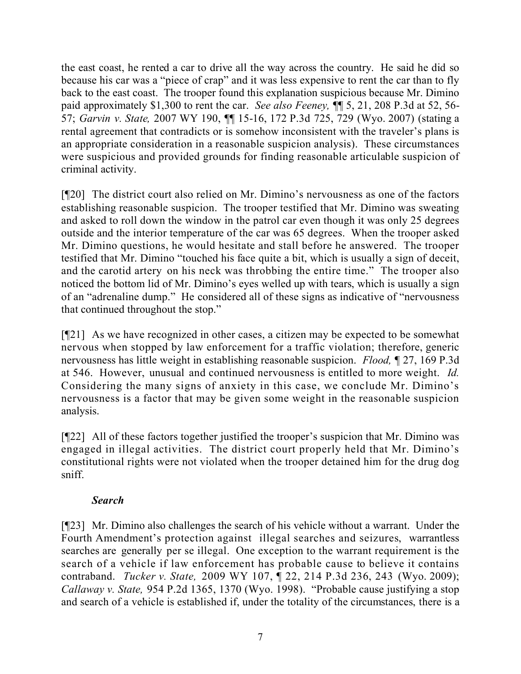the east coast, he rented a car to drive all the way across the country. He said he did so because his car was a "piece of crap" and it was less expensive to rent the car than to fly back to the east coast. The trooper found this explanation suspicious because Mr. Dimino paid approximately \$1,300 to rent the car. *See also Feeney,* ¶¶ 5, 21, 208 P.3d at 52, 56- 57; *Garvin v. State,* 2007 WY 190, ¶¶ 15-16, 172 P.3d 725, 729 (Wyo. 2007) (stating a rental agreement that contradicts or is somehow inconsistent with the traveler's plans is an appropriate consideration in a reasonable suspicion analysis). These circumstances were suspicious and provided grounds for finding reasonable articulable suspicion of criminal activity.

[¶20] The district court also relied on Mr. Dimino's nervousness as one of the factors establishing reasonable suspicion. The trooper testified that Mr. Dimino was sweating and asked to roll down the window in the patrol car even though it was only 25 degrees outside and the interior temperature of the car was 65 degrees. When the trooper asked Mr. Dimino questions, he would hesitate and stall before he answered. The trooper testified that Mr. Dimino "touched his face quite a bit, which is usually a sign of deceit, and the carotid artery on his neck was throbbing the entire time." The trooper also noticed the bottom lid of Mr. Dimino's eyes welled up with tears, which is usually a sign of an "adrenaline dump." He considered all of these signs as indicative of "nervousness that continued throughout the stop."

[¶21] As we have recognized in other cases, a citizen may be expected to be somewhat nervous when stopped by law enforcement for a traffic violation; therefore, generic nervousness has little weight in establishing reasonable suspicion. *Flood,* ¶ 27, 169 P.3d at 546. However, unusual and continued nervousness is entitled to more weight. *Id.*  Considering the many signs of anxiety in this case, we conclude Mr. Dimino's nervousness is a factor that may be given some weight in the reasonable suspicion analysis.

[¶22] All of these factors together justified the trooper's suspicion that Mr. Dimino was engaged in illegal activities. The district court properly held that Mr. Dimino's constitutional rights were not violated when the trooper detained him for the drug dog sniff.

# *Search*

[¶23] Mr. Dimino also challenges the search of his vehicle without a warrant. Under the Fourth Amendment's protection against illegal searches and seizures, warrantless searches are generally per se illegal. One exception to the warrant requirement is the search of a vehicle if law enforcement has probable cause to believe it contains contraband. *Tucker v. State,* 2009 WY 107, ¶ 22, 214 P.3d 236, 243 (Wyo. 2009); *Callaway v. State,* 954 P.2d 1365, 1370 (Wyo. 1998). "Probable cause justifying a stop and search of a vehicle is established if, under the totality of the circumstances, there is a